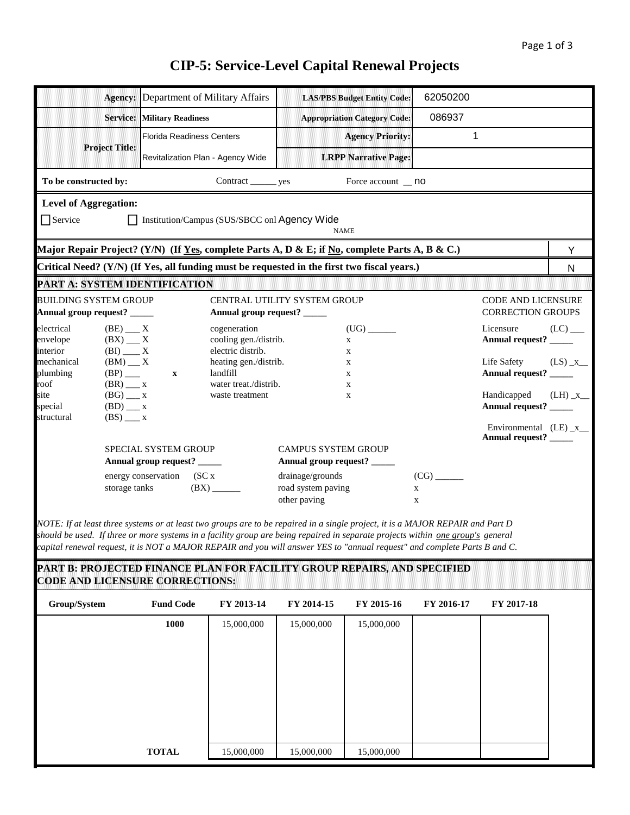# **CIP-5: Service-Level Capital Renewal Projects**

| Agency:                                                                                                                                                                                                                                                                                                                                                                                        | Department of Military Affairs     |                                                                                 |                                                        | <b>LAS/PBS Budget Entity Code:</b>  | 62050200                           |                                                |                       |  |  |
|------------------------------------------------------------------------------------------------------------------------------------------------------------------------------------------------------------------------------------------------------------------------------------------------------------------------------------------------------------------------------------------------|------------------------------------|---------------------------------------------------------------------------------|--------------------------------------------------------|-------------------------------------|------------------------------------|------------------------------------------------|-----------------------|--|--|
|                                                                                                                                                                                                                                                                                                                                                                                                | <b>Service: Military Readiness</b> |                                                                                 |                                                        | <b>Appropriation Category Code:</b> | 086937                             |                                                |                       |  |  |
|                                                                                                                                                                                                                                                                                                                                                                                                | <b>Florida Readiness Centers</b>   |                                                                                 |                                                        | <b>Agency Priority:</b>             | 1                                  |                                                |                       |  |  |
| <b>Project Title:</b>                                                                                                                                                                                                                                                                                                                                                                          | Revitalization Plan - Agency Wide  |                                                                                 |                                                        | <b>LRPP Narrative Page:</b>         |                                    |                                                |                       |  |  |
| To be constructed by:<br>Contract _________ yes<br>Force account _ no                                                                                                                                                                                                                                                                                                                          |                                    |                                                                                 |                                                        |                                     |                                    |                                                |                       |  |  |
| <b>Level of Aggregation:</b>                                                                                                                                                                                                                                                                                                                                                                   |                                    |                                                                                 |                                                        |                                     |                                    |                                                |                       |  |  |
| $\Box$ Service<br>Institution/Campus (SUS/SBCC onl Agency Wide<br><b>NAME</b>                                                                                                                                                                                                                                                                                                                  |                                    |                                                                                 |                                                        |                                     |                                    |                                                |                       |  |  |
| Major Repair Project? (Y/N) (If Yes, complete Parts A, D & E; if No, complete Parts A, B & C.)                                                                                                                                                                                                                                                                                                 |                                    |                                                                                 |                                                        |                                     |                                    |                                                | Y                     |  |  |
| Critical Need? (Y/N) (If Yes, all funding must be requested in the first two fiscal years.)                                                                                                                                                                                                                                                                                                    |                                    |                                                                                 |                                                        |                                     |                                    |                                                | N                     |  |  |
| PART A: SYSTEM IDENTIFICATION                                                                                                                                                                                                                                                                                                                                                                  |                                    |                                                                                 |                                                        |                                     |                                    |                                                |                       |  |  |
| <b>BUILDING SYSTEM GROUP</b><br>Annual group request? _____                                                                                                                                                                                                                                                                                                                                    |                                    | Annual group request? _____                                                     | <b>CENTRAL UTILITY SYSTEM GROUP</b>                    |                                     |                                    | CODE AND LICENSURE<br><b>CORRECTION GROUPS</b> |                       |  |  |
| $(BE)$ <sub>__</sub> X<br>electrical<br>$(BX)$ __ X<br>envelope                                                                                                                                                                                                                                                                                                                                |                                    | cogeneration<br>cooling gen./distrib.                                           |                                                        | $\mathbf X$                         |                                    | Licensure<br>Annual request? _____             | $(LC)$ <sub>___</sub> |  |  |
| interior<br>$(BI)$ <sub>__</sub> X<br>mechanical<br>$(BM)$ __ X<br>$(BP)$ <sub>____</sub><br>plumbing<br>roof<br>$(BR)$ __ x                                                                                                                                                                                                                                                                   | $\mathbf{x}$                       | electric distrib.<br>heating gen./distrib.<br>landfill<br>water treat./distrib. |                                                        | X<br>X<br>X<br>$\mathbf X$          |                                    | Life Safety<br>Annual request? _____           | $(LS)_{X_{}}$         |  |  |
| site<br>$(BG)$ __ x<br>$(BD)$ <sub>__</sub> x<br>special<br>structural<br>$(BS)$ <sub>___</sub> x                                                                                                                                                                                                                                                                                              |                                    | waste treatment                                                                 |                                                        | X                                   |                                    | Handicapped<br>Annual request? _____           | $(LH) _X$             |  |  |
| Environmental $(LE) _x$ _<br>Annual request? ____<br>SPECIAL SYSTEM GROUP<br><b>CAMPUS SYSTEM GROUP</b><br>Annual group request? _____<br>Annual group request? _____                                                                                                                                                                                                                          |                                    |                                                                                 |                                                        |                                     |                                    |                                                |                       |  |  |
| storage tanks                                                                                                                                                                                                                                                                                                                                                                                  | energy conservation (SC x          | $(BX)$ <sub>_______</sub>                                                       | drainage/grounds<br>road system paving<br>other paving |                                     | (CG)<br>$\mathbf X$<br>$\mathbf X$ |                                                |                       |  |  |
| NOTE: If at least three systems or at least two groups are to be repaired in a single project, it is a MAJOR REPAIR and Part D<br>should be used. If three or more systems in a facility group are being repaired in separate projects within one group's general<br>capital renewal request, it is NOT a MAJOR REPAIR and you will answer YES to "annual request" and complete Parts B and C. |                                    |                                                                                 |                                                        |                                     |                                    |                                                |                       |  |  |
| PART B: PROJECTED FINANCE PLAN FOR FACILITY GROUP REPAIRS, AND SPECIFIED<br><b>CODE AND LICENSURE CORRECTIONS:</b>                                                                                                                                                                                                                                                                             |                                    |                                                                                 |                                                        |                                     |                                    |                                                |                       |  |  |
| Group/System                                                                                                                                                                                                                                                                                                                                                                                   | <b>Fund Code</b>                   | FY 2013-14                                                                      | FY 2014-15                                             | FY 2015-16                          | FY 2016-17                         | FY 2017-18                                     |                       |  |  |
|                                                                                                                                                                                                                                                                                                                                                                                                | 1000                               | 15,000,000                                                                      | 15,000,000                                             | 15,000,000                          |                                    |                                                |                       |  |  |
|                                                                                                                                                                                                                                                                                                                                                                                                |                                    |                                                                                 |                                                        |                                     |                                    |                                                |                       |  |  |
|                                                                                                                                                                                                                                                                                                                                                                                                |                                    |                                                                                 |                                                        |                                     |                                    |                                                |                       |  |  |
|                                                                                                                                                                                                                                                                                                                                                                                                |                                    |                                                                                 |                                                        |                                     |                                    |                                                |                       |  |  |
|                                                                                                                                                                                                                                                                                                                                                                                                |                                    |                                                                                 |                                                        |                                     |                                    |                                                |                       |  |  |
|                                                                                                                                                                                                                                                                                                                                                                                                |                                    |                                                                                 |                                                        |                                     |                                    |                                                |                       |  |  |
|                                                                                                                                                                                                                                                                                                                                                                                                |                                    |                                                                                 |                                                        |                                     |                                    |                                                |                       |  |  |
|                                                                                                                                                                                                                                                                                                                                                                                                | <b>TOTAL</b>                       | 15,000,000                                                                      | 15,000,000                                             | 15,000,000                          |                                    |                                                |                       |  |  |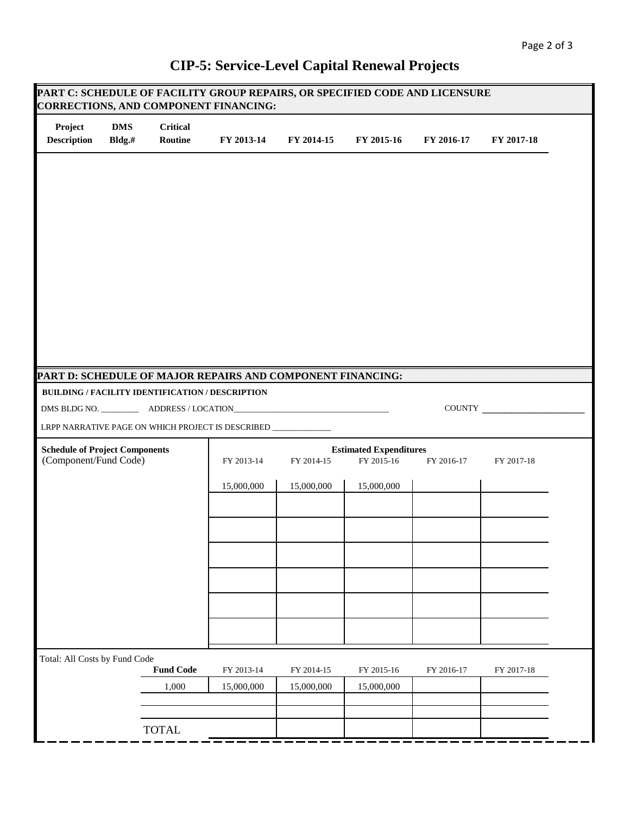Г

| Project<br><b>Description</b>                                                                   | <b>DMS</b><br>Bldg.# | <b>Critical</b><br>Routine                       | FY 2013-14                                                   | FY 2014-15 | FY 2015-16                                  | FY 2016-17 | FY 2017-18 |
|-------------------------------------------------------------------------------------------------|----------------------|--------------------------------------------------|--------------------------------------------------------------|------------|---------------------------------------------|------------|------------|
|                                                                                                 |                      |                                                  |                                                              |            |                                             |            |            |
|                                                                                                 |                      |                                                  |                                                              |            |                                             |            |            |
|                                                                                                 |                      |                                                  |                                                              |            |                                             |            |            |
|                                                                                                 |                      |                                                  |                                                              |            |                                             |            |            |
|                                                                                                 |                      |                                                  |                                                              |            |                                             |            |            |
|                                                                                                 |                      |                                                  |                                                              |            |                                             |            |            |
|                                                                                                 |                      | BUILDING / FACILITY IDENTIFICATION / DESCRIPTION | PART D: SCHEDULE OF MAJOR REPAIRS AND COMPONENT FINANCING:   |            |                                             |            |            |
|                                                                                                 |                      |                                                  |                                                              |            |                                             |            |            |
|                                                                                                 |                      |                                                  |                                                              |            |                                             |            | COUNTY     |
|                                                                                                 |                      |                                                  | LRPP NARRATIVE PAGE ON WHICH PROJECT IS DESCRIBED __________ |            |                                             |            |            |
|                                                                                                 |                      |                                                  | FY 2013-14                                                   | FY 2014-15 | <b>Estimated Expenditures</b><br>FY 2015-16 | FY 2016-17 | FY 2017-18 |
|                                                                                                 |                      |                                                  | 15,000,000                                                   | 15,000,000 | 15,000,000                                  |            |            |
|                                                                                                 |                      |                                                  |                                                              |            |                                             |            |            |
|                                                                                                 |                      |                                                  |                                                              |            |                                             |            |            |
|                                                                                                 |                      |                                                  |                                                              |            |                                             |            |            |
|                                                                                                 |                      |                                                  |                                                              |            |                                             |            |            |
|                                                                                                 |                      |                                                  |                                                              |            |                                             |            |            |
|                                                                                                 |                      |                                                  |                                                              |            |                                             |            |            |
|                                                                                                 |                      |                                                  |                                                              |            |                                             |            |            |
|                                                                                                 |                      |                                                  |                                                              |            |                                             |            |            |
|                                                                                                 |                      | <b>Fund Code</b>                                 | FY 2013-14                                                   | FY 2014-15 | FY 2015-16                                  | FY 2016-17 | FY 2017-18 |
| <b>Schedule of Project Components</b><br>(Component/Fund Code)<br>Total: All Costs by Fund Code |                      | 1,000                                            | 15,000,000                                                   | 15,000,000 | 15,000,000                                  |            |            |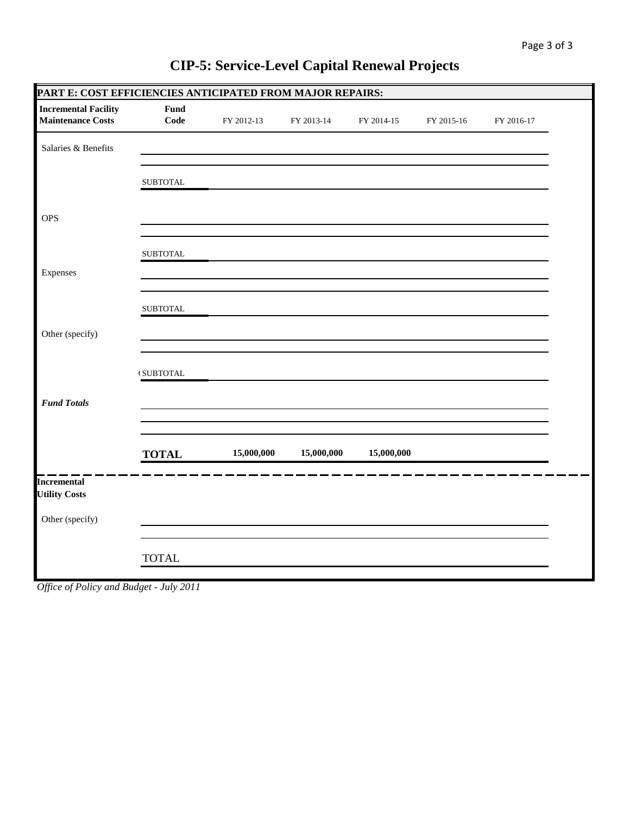| PARTE: COST EFFICIENCIES ANTICIPATED FROM MAJOR REPAIRS: |                                           |            |            |            |            |            |  |
|----------------------------------------------------------|-------------------------------------------|------------|------------|------------|------------|------------|--|
| <b>Incremental Facility</b><br><b>Maintenance Costs</b>  | Fund<br>Code                              | FY 2012-13 | FY 2013-14 | FY 2014-15 | FY 2015-16 | FY 2016-17 |  |
| Salaries & Benefits                                      |                                           |            |            |            |            |            |  |
|                                                          | ${\tt SUBTOTAL}$                          |            |            |            |            |            |  |
| <b>OPS</b>                                               |                                           |            |            |            |            |            |  |
|                                                          | ${\tt SUBTOTAL}$                          |            |            |            |            |            |  |
| Expenses                                                 |                                           |            |            |            |            |            |  |
|                                                          | ${\tt SUBTOTAL}$                          |            |            |            |            |            |  |
| Other (specify)                                          |                                           |            |            |            |            |            |  |
|                                                          | $\ensuremath{\mathsf{t}}\xspace$ SUBTOTAL |            |            |            |            |            |  |
| <b>Fund Totals</b>                                       |                                           |            |            |            |            |            |  |
|                                                          | <b>TOTAL</b>                              | 15,000,000 | 15,000,000 | 15,000,000 |            |            |  |
| <b>Incremental</b><br><b>Utility Costs</b>               |                                           |            |            |            |            |            |  |
| Other (specify)                                          |                                           |            |            |            |            |            |  |
|                                                          | <b>TOTAL</b>                              |            |            |            |            |            |  |

# **CIP-5: Service-Level Capital Renewal Projects**

*Office of Policy and Budget - July 2011*